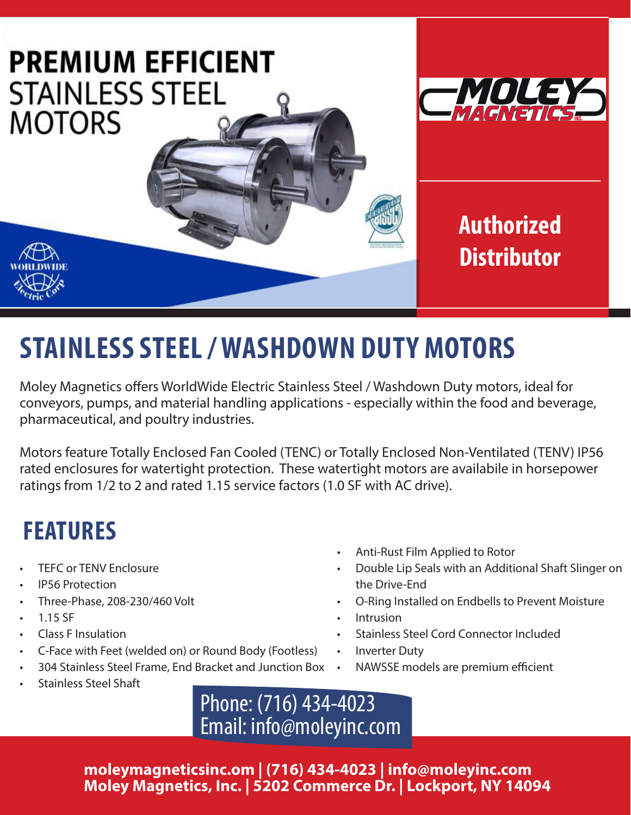

# **STAINLESS STEEL / WASHDOWN DUTY MOTORS**

Moley Magnetics offers WorldWide Electric Stainless Steel / Washdown Duty motors, ideal for conveyors, pumps, and material handling applications - especially within the food and beverage, pharmaceutical, and poultry industries.

Motors feature Totally Enclosed Fan Cooled (TENC) or Totally Enclosed Non-Ventilated (TENV) IP56 rated enclosures for watertight protection. These watertight motors are availabile in horsepower ratings from 1/2 to 2 and rated 1.15 service factors (1.0 SF with AC drive).

## **FEATURES**

- **TEFC or TENV Enclosure**
- IP56 Protection
- Three-Phase, 208-230/460 Volt
- 1.15 SF
- Class F Insulation
- C-Face with Feet (welded on) or Round Body (Footless)
- 304 Stainless Steel Frame, End Bracket and Junction Box
- Anti-Rust Film Applied to Rotor
- Double Lip Seals with an Additional Shaft Slinger on the Drive-End
- O-Ring Installed on Endbells to Prevent Moisture
- **Intrusion**
- Stainless Steel Cord Connector Included
- Inverter Duty
- NAWSSE models are premium efficient

• Stainless Steel Shaft

Phone: (716) 434-4023 Email: info@moleyinc.com

**moleymagneticsinc.om | (716) 434-4023 | info@moleyinc.com Moley Magnetics, Inc. | 5202 Commerce Dr. | Lockport, NY 14094**